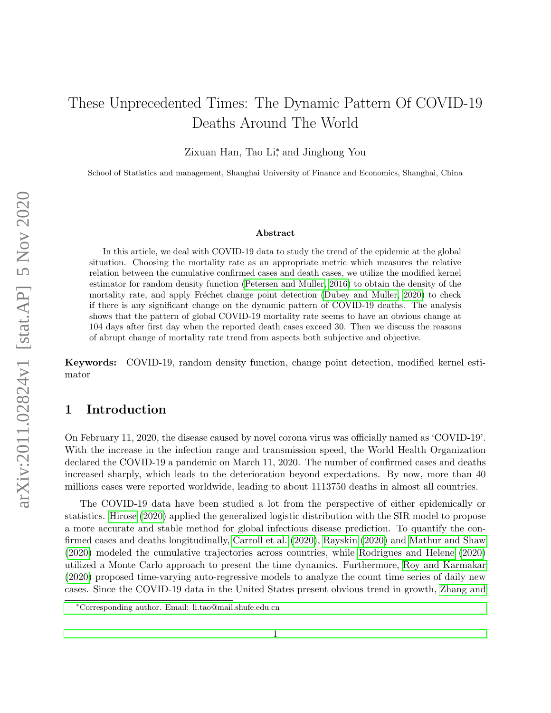# These Unprecedented Times: The Dynamic Pattern Of COVID-19 Deaths Around The World

Zixuan Han, Tao Li<sup>\*</sup>, and Jinghong You

School of Statistics and management, Shanghai University of Finance and Economics, Shanghai, China

#### Abstract

In this article, we deal with COVID-19 data to study the trend of the epidemic at the global situation. Choosing the mortality rate as an appropriate metric which measures the relative relation between the cumulative confirmed cases and death cases, we utilize the modified kernel estimator for random density function [\(Petersen and Muller, 2016\)](#page-16-0) to obtain the density of the mortality rate, and apply Fréchet change point detection [\(Dubey and Muller, 2020\)](#page-16-1) to check if there is any significant change on the dynamic pattern of COVID-19 deaths. The analysis shows that the pattern of global COVID-19 mortality rate seems to have an obvious change at 104 days after first day when the reported death cases exceed 30. Then we discuss the reasons of abrupt change of mortality rate trend from aspects both subjective and objective.

Keywords: COVID-19, random density function, change point detection, modified kernel estimator

## 1 Introduction

On February 11, 2020, the disease caused by novel corona virus was officially named as 'COVID-19'. With the increase in the infection range and transmission speed, the World Health Organization declared the COVID-19 a pandemic on March 11, 2020. The number of confirmed cases and deaths increased sharply, which leads to the deterioration beyond expectations. By now, more than 40 millions cases were reported worldwide, leading to about 1113750 deaths in almost all countries.

The COVID-19 data have been studied a lot from the perspective of either epidemically or statistics. [Hirose](#page-16-2) [\(2020\)](#page-16-2) applied the generalized logistic distribution with the SIR model to propose a more accurate and stable method for global infectious disease prediction. To quantify the confirmed cases and deaths longitudinally, [Carroll et al.](#page-16-3) [\(2020\)](#page-16-3), [Rayskin](#page-17-0) [\(2020\)](#page-17-0) and [Mathur and Shaw](#page-16-4) [\(2020\)](#page-16-4) modeled the cumulative trajectories across countries, while [Rodrigues and Helene](#page-17-1) [\(2020\)](#page-17-1) utilized a Monte Carlo approach to present the time dynamics. Furthermore, [Roy and Karmakar](#page-17-2) [\(2020\)](#page-17-2) proposed time-varying auto-regressive models to analyze the count time series of daily new cases. Since the COVID-19 data in the United States present obvious trend in growth, [Zhang and](#page-17-3)

<sup>∗</sup>[Corresponding author. Email: li.tao@mail.shufe.edu.cn](#page-17-3)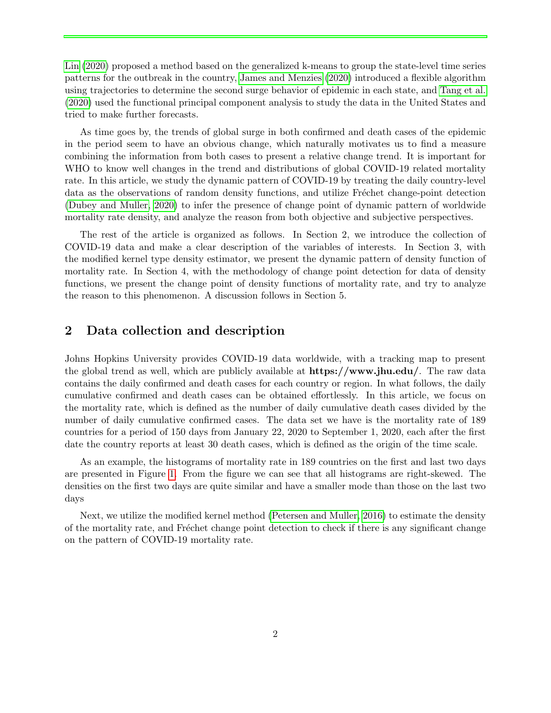[Lin](#page-17-3) [\(2020\)](#page-17-3) proposed a method based on the generalized k-means to group the state-level time series patterns for the outbreak in the country, [James and Menzies](#page-16-5) [\(2020\)](#page-16-5) introduced a flexible algorithm using trajectories to determine the second surge behavior of epidemic in each state, and [Tang et al.](#page-17-4) [\(2020\)](#page-17-4) used the functional principal component analysis to study the data in the United States and tried to make further forecasts.

As time goes by, the trends of global surge in both confirmed and death cases of the epidemic in the period seem to have an obvious change, which naturally motivates us to find a measure combining the information from both cases to present a relative change trend. It is important for WHO to know well changes in the trend and distributions of global COVID-19 related mortality rate. In this article, we study the dynamic pattern of COVID-19 by treating the daily country-level data as the observations of random density functions, and utilize Fréchet change-point detection [\(Dubey and Muller, 2020\)](#page-16-1) to infer the presence of change point of dynamic pattern of worldwide mortality rate density, and analyze the reason from both objective and subjective perspectives.

The rest of the article is organized as follows. In Section 2, we introduce the collection of COVID-19 data and make a clear description of the variables of interests. In Section 3, with the modified kernel type density estimator, we present the dynamic pattern of density function of mortality rate. In Section 4, with the methodology of change point detection for data of density functions, we present the change point of density functions of mortality rate, and try to analyze the reason to this phenomenon. A discussion follows in Section 5.

### 2 Data collection and description

Johns Hopkins University provides COVID-19 data worldwide, with a tracking map to present the global trend as well, which are publicly available at https://www.jhu.edu/. The raw data contains the daily confirmed and death cases for each country or region. In what follows, the daily cumulative confirmed and death cases can be obtained effortlessly. In this article, we focus on the mortality rate, which is defined as the number of daily cumulative death cases divided by the number of daily cumulative confirmed cases. The data set we have is the mortality rate of 189 countries for a period of 150 days from January 22, 2020 to September 1, 2020, each after the first date the country reports at least 30 death cases, which is defined as the origin of the time scale.

As an example, the histograms of mortality rate in 189 countries on the first and last two days are presented in Figure [1.](#page-2-0) From the figure we can see that all histograms are right-skewed. The densities on the first two days are quite similar and have a smaller mode than those on the last two days

Next, we utilize the modified kernel method [\(Petersen and Muller, 2016\)](#page-16-0) to estimate the density of the mortality rate, and Fréchet change point detection to check if there is any significant change on the pattern of COVID-19 mortality rate.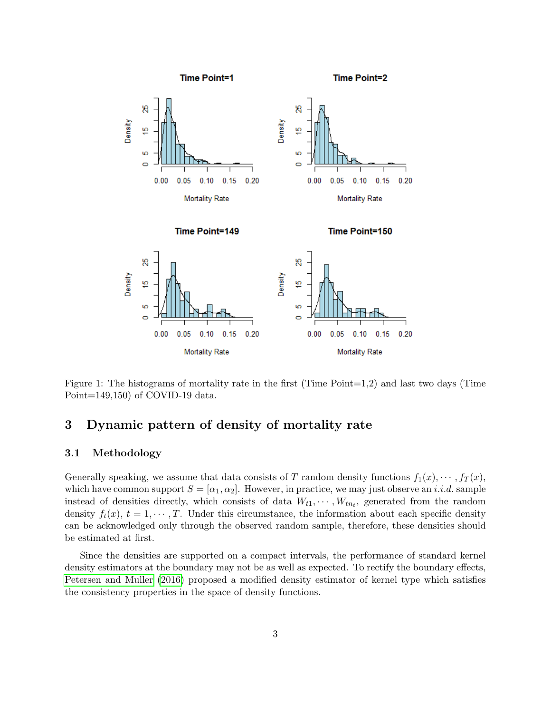

<span id="page-2-0"></span>Figure 1: The histograms of mortality rate in the first (Time Point=1,2) and last two days (Time Point=149,150) of COVID-19 data.

## 3 Dynamic pattern of density of mortality rate

#### 3.1 Methodology

Generally speaking, we assume that data consists of T random density functions  $f_1(x), \cdots, f_T(x)$ , which have common support  $S = [\alpha_1, \alpha_2]$ . However, in practice, we may just observe an *i.i.d.* sample instead of densities directly, which consists of data  $W_{t1}, \cdots, W_{tn_t}$ , generated from the random density  $f_t(x)$ ,  $t = 1, \dots, T$ . Under this circumstance, the information about each specific density can be acknowledged only through the observed random sample, therefore, these densities should be estimated at first.

Since the densities are supported on a compact intervals, the performance of standard kernel density estimators at the boundary may not be as well as expected. To rectify the boundary effects, [Petersen and Muller](#page-16-0) [\(2016\)](#page-16-0) proposed a modified density estimator of kernel type which satisfies the consistency properties in the space of density functions.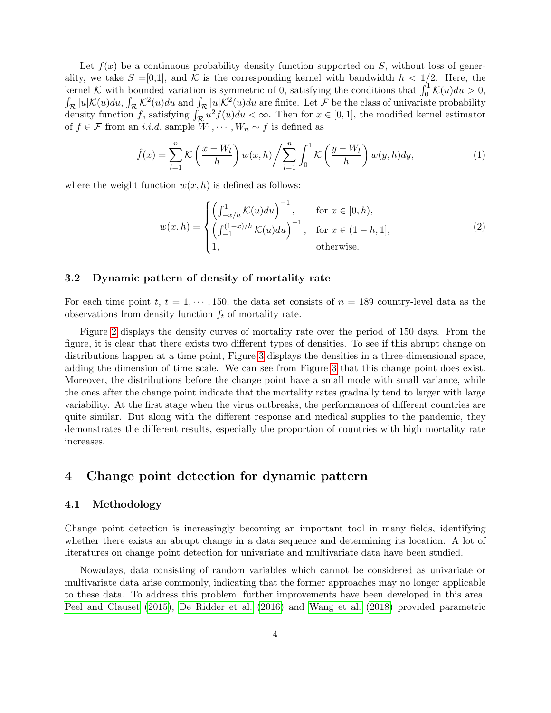Let  $f(x)$  be a continuous probability density function supported on S, without loss of generality, we take  $S = [0,1]$ , and K is the corresponding kernel with bandwidth  $h < 1/2$ . Here, the kernel K with bounded variation is symmetric of 0, satisfying the conditions that  $\int_0^1 K(u)du > 0$ ,  $\int_{\mathcal{R}}|u|\mathcal{K}(u)du, \int_{\mathcal{R}}\mathcal{K}^{2}(u)du$  and  $\int_{\mathcal{R}}|u|\mathcal{K}^{2}(u)du$  are finite. Let F be the class of univariate probability density function f, satisfying  $\int_{\mathcal{R}} u^2 f(u) du < \infty$ . Then for  $x \in [0, 1]$ , the modified kernel estimator of  $f \in \mathcal{F}$  from an *i.i.d.* sample  $W_1, \cdots, W_n \sim f$  is defined as

$$
\hat{f}(x) = \sum_{l=1}^{n} \mathcal{K}\left(\frac{x - W_l}{h}\right) w(x, h) / \sum_{l=1}^{n} \int_0^1 \mathcal{K}\left(\frac{y - W_l}{h}\right) w(y, h) dy,
$$
\n(1)

where the weight function  $w(x, h)$  is defined as follows:

$$
w(x,h) = \begin{cases} \left(\int_{-x/h}^{1} \mathcal{K}(u) du\right)^{-1}, & \text{for } x \in [0,h),\\ \left(\int_{-1}^{(1-x)/h} \mathcal{K}(u) du\right)^{-1}, & \text{for } x \in (1-h,1],\\ 1, & \text{otherwise.} \end{cases}
$$
(2)

#### 3.2 Dynamic pattern of density of mortality rate

For each time point t,  $t = 1, \dots, 150$ , the data set consists of  $n = 189$  country-level data as the observations from density function  $f_t$  of mortality rate.

Figure [2](#page-4-0) displays the density curves of mortality rate over the period of 150 days. From the figure, it is clear that there exists two different types of densities. To see if this abrupt change on distributions happen at a time point, Figure [3](#page-5-0) displays the densities in a three-dimensional space, adding the dimension of time scale. We can see from Figure [3](#page-5-0) that this change point does exist. Moreover, the distributions before the change point have a small mode with small variance, while the ones after the change point indicate that the mortality rates gradually tend to larger with large variability. At the first stage when the virus outbreaks, the performances of different countries are quite similar. But along with the different response and medical supplies to the pandemic, they demonstrates the different results, especially the proportion of countries with high mortality rate increases.

### 4 Change point detection for dynamic pattern

#### 4.1 Methodology

Change point detection is increasingly becoming an important tool in many fields, identifying whether there exists an abrupt change in a data sequence and determining its location. A lot of literatures on change point detection for univariate and multivariate data have been studied.

Nowadays, data consisting of random variables which cannot be considered as univariate or multivariate data arise commonly, indicating that the former approaches may no longer applicable to these data. To address this problem, further improvements have been developed in this area. [Peel and Clauset](#page-16-6) [\(2015\)](#page-16-6), [De Ridder et al.](#page-16-7) [\(2016\)](#page-16-7) and [Wang et al.](#page-17-5) [\(2018\)](#page-17-5) provided parametric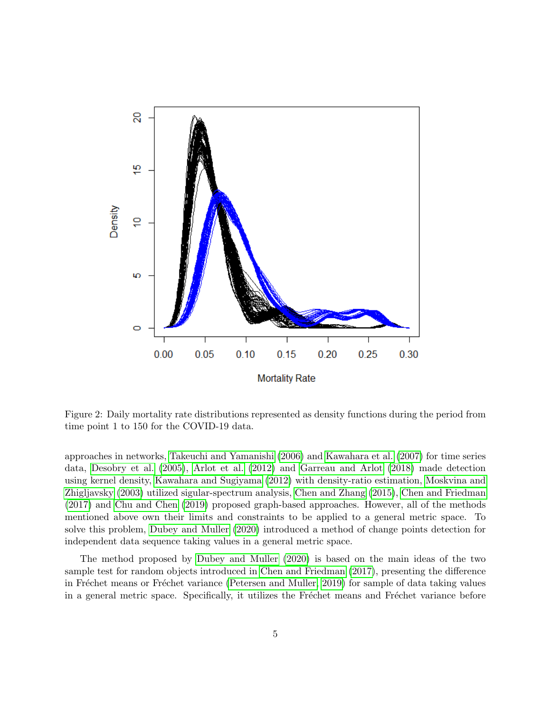

<span id="page-4-0"></span>Figure 2: Daily mortality rate distributions represented as density functions during the period from time point 1 to 150 for the COVID-19 data.

approaches in networks, [Takeuchi and Yamanishi](#page-17-6) [\(2006\)](#page-17-6) and [Kawahara et al.](#page-16-8) [\(2007\)](#page-16-8) for time series data, [Desobry et al.](#page-16-9) [\(2005\)](#page-16-9), [Arlot et al.](#page-15-0) [\(2012\)](#page-15-0) and [Garreau and Arlot](#page-16-10) [\(2018\)](#page-16-10) made detection using kernel density, [Kawahara and Sugiyama](#page-16-11) [\(2012\)](#page-16-11) with density-ratio estimation, [Moskvina and](#page-16-12) [Zhigljavsky](#page-16-12) [\(2003\)](#page-16-12) utilized sigular-spectrum analysis, [Chen and Zhang](#page-16-13) [\(2015\)](#page-16-13), [Chen and Friedman](#page-16-14) [\(2017\)](#page-16-14) and [Chu and Chen](#page-16-15) [\(2019\)](#page-16-15) proposed graph-based approaches. However, all of the methods mentioned above own their limits and constraints to be applied to a general metric space. To solve this problem, [Dubey and Muller](#page-16-1) [\(2020\)](#page-16-1) introduced a method of change points detection for independent data sequence taking values in a general metric space.

The method proposed by [Dubey and Muller](#page-16-1) [\(2020\)](#page-16-1) is based on the main ideas of the two sample test for random objects introduced in [Chen and Friedman](#page-16-14) [\(2017\)](#page-16-14), presenting the difference in Fréchet means or Fréchet variance [\(Petersen and Muller, 2019\)](#page-16-16) for sample of data taking values in a general metric space. Specifically, it utilizes the Fréchet means and Fréchet variance before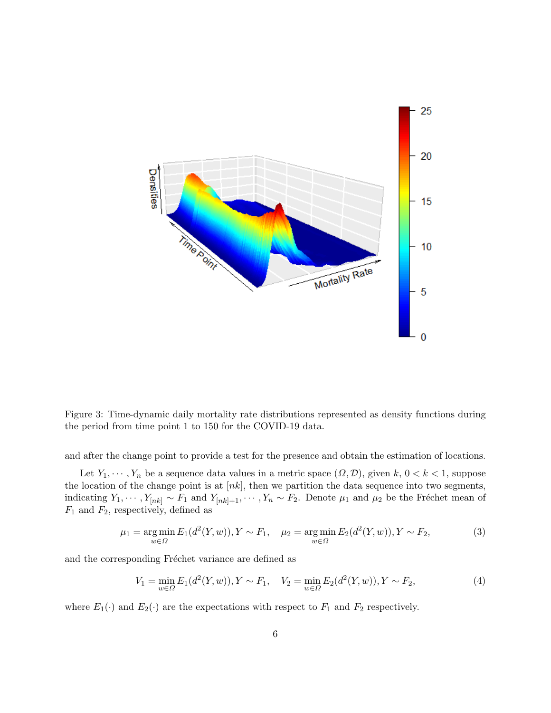

<span id="page-5-0"></span>Figure 3: Time-dynamic daily mortality rate distributions represented as density functions during the period from time point 1 to 150 for the COVID-19 data.

and after the change point to provide a test for the presence and obtain the estimation of locations.

Let  $Y_1, \dots, Y_n$  be a sequence data values in a metric space  $(\Omega, \mathcal{D})$ , given  $k, 0 < k < 1$ , suppose the location of the change point is at  $[nk]$ , then we partition the data sequence into two segments, indicating  $Y_1, \dots, Y_{[nk]} \sim F_1$  and  $Y_{[nk]+1}, \dots, Y_n \sim F_2$ . Denote  $\mu_1$  and  $\mu_2$  be the Fréchet mean of  $F_1$  and  $F_2$ , respectively, defined as

$$
\mu_1 = \underset{w \in \Omega}{\arg \min} E_1(d^2(Y, w)), Y \sim F_1, \quad \mu_2 = \underset{w \in \Omega}{\arg \min} E_2(d^2(Y, w)), Y \sim F_2,\tag{3}
$$

and the corresponding Fréchet variance are defined as

$$
V_1 = \min_{w \in \Omega} E_1(d^2(Y, w)), Y \sim F_1, \quad V_2 = \min_{w \in \Omega} E_2(d^2(Y, w)), Y \sim F_2,
$$
\n(4)

where  $E_1(\cdot)$  and  $E_2(\cdot)$  are the expectations with respect to  $F_1$  and  $F_2$  respectively.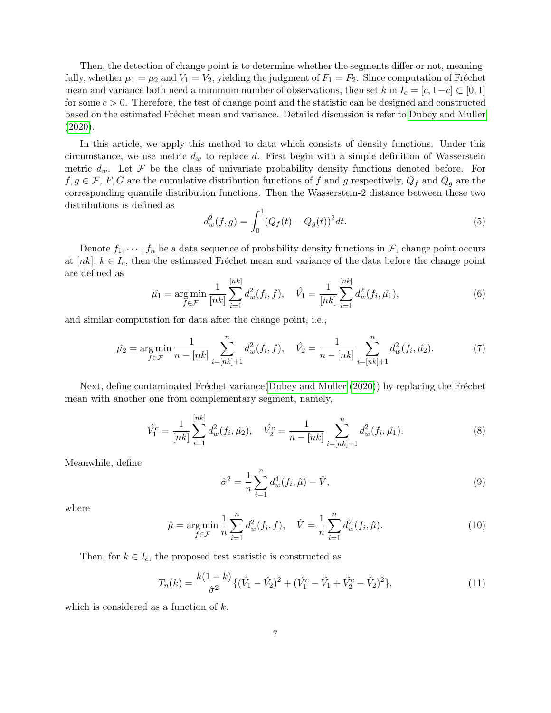Then, the detection of change point is to determine whether the segments differ or not, meaningfully, whether  $\mu_1 = \mu_2$  and  $V_1 = V_2$ , yielding the judgment of  $F_1 = F_2$ . Since computation of Fréchet mean and variance both need a minimum number of observations, then set k in  $I_c = [c, 1-c] \subset [0,1]$ for some  $c > 0$ . Therefore, the test of change point and the statistic can be designed and constructed based on the estimated Fréchet mean and variance. Detailed discussion is refer to [Dubey and Muller](#page-16-1) [\(2020\)](#page-16-1).

In this article, we apply this method to data which consists of density functions. Under this circumstance, we use metric  $d_w$  to replace d. First begin with a simple definition of Wasserstein metric  $d_w$ . Let F be the class of univariate probability density functions denoted before. For  $f, g \in \mathcal{F}, F, G$  are the cumulative distribution functions of f and g respectively,  $Q_f$  and  $Q_g$  are the corresponding quantile distribution functions. Then the Wasserstein-2 distance between these two distributions is defined as

$$
d_w^2(f,g) = \int_0^1 (Q_f(t) - Q_g(t))^2 dt.
$$
\n(5)

Denote  $f_1, \dots, f_n$  be a data sequence of probability density functions in  $\mathcal{F}$ , change point occurs at [nk],  $k \in I_c$ , then the estimated Fréchet mean and variance of the data before the change point are defined as

$$
\hat{\mu_1} = \underset{f \in \mathcal{F}}{\arg \min} \frac{1}{[nk]} \sum_{i=1}^{[nk]} d_w^2(f_i, f), \quad \hat{V_1} = \frac{1}{[nk]} \sum_{i=1}^{[nk]} d_w^2(f_i, \hat{\mu_1}), \tag{6}
$$

and similar computation for data after the change point, i.e.,

$$
\hat{\mu_2} = \underset{f \in \mathcal{F}}{\arg \min} \frac{1}{n - [nk]} \sum_{i=[nk]+1}^n d_w^2(f_i, f), \quad \hat{V_2} = \frac{1}{n - [nk]} \sum_{i=[nk]+1}^n d_w^2(f_i, \hat{\mu_2}). \tag{7}
$$

Next, define contaminated Fréchet variance[\(Dubey and Muller](#page-16-1)  $(2020)$ ) by replacing the Fréchet mean with another one from complementary segment, namely,

$$
\hat{V}_1^c = \frac{1}{[nk]} \sum_{i=1}^{[nk]} d_w^2(f_i, \hat{\mu}_2), \quad \hat{V}_2^c = \frac{1}{n - [nk]} \sum_{i=[nk]+1}^n d_w^2(f_i, \hat{\mu}_1).
$$
\n(8)

Meanwhile, define

$$
\hat{\sigma}^2 = \frac{1}{n} \sum_{i=1}^n d_w^4(f_i, \hat{\mu}) - \hat{V}, \qquad (9)
$$

where

$$
\hat{\mu} = \underset{f \in \mathcal{F}}{\arg \min} \frac{1}{n} \sum_{i=1}^{n} d_w^2(f_i, f), \quad \hat{V} = \frac{1}{n} \sum_{i=1}^{n} d_w^2(f_i, \hat{\mu}). \tag{10}
$$

Then, for  $k \in I_c$ , the proposed test statistic is constructed as

$$
T_n(k) = \frac{k(1-k)}{\hat{\sigma}^2} \{ (\hat{V}_1 - \hat{V}_2)^2 + (\hat{V}_1^c - \hat{V}_1 + \hat{V}_2^c - \hat{V}_2)^2 \},\tag{11}
$$

which is considered as a function of  $k$ .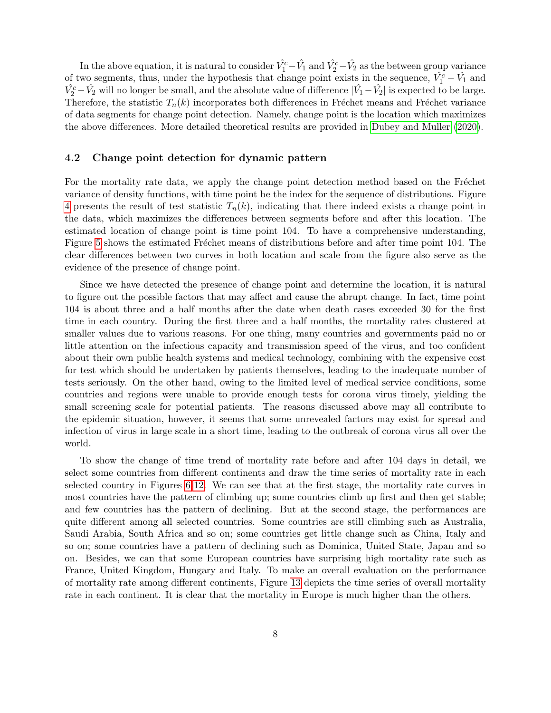In the above equation, it is natural to consider  $\hat{V}_1^c - \hat{V}_1$  and  $\hat{V}_2^c - \hat{V}_2$  as the between group variance of two segments, thus, under the hypothesis that change point exists in the sequence,  $\hat{V}_1^c - \hat{V}_1$  and  $\hat{V_2^c} - \hat{V_2}$  will no longer be small, and the absolute value of difference  $|\hat{V_1} - \hat{V_2}|$  is expected to be large. Therefore, the statistic  $T_n(k)$  incorporates both differences in Fréchet means and Fréchet variance of data segments for change point detection. Namely, change point is the location which maximizes the above differences. More detailed theoretical results are provided in [Dubey and Muller](#page-16-1) [\(2020\)](#page-16-1).

#### 4.2 Change point detection for dynamic pattern

For the mortality rate data, we apply the change point detection method based on the Fréchet variance of density functions, with time point be the index for the sequence of distributions. Figure [4](#page-8-0) presents the result of test statistic  $T_n(k)$ , indicating that there indeed exists a change point in the data, which maximizes the differences between segments before and after this location. The estimated location of change point is time point 104. To have a comprehensive understanding, Figure [5](#page-9-0) shows the estimated Fréchet means of distributions before and after time point 104. The clear differences between two curves in both location and scale from the figure also serve as the evidence of the presence of change point.

Since we have detected the presence of change point and determine the location, it is natural to figure out the possible factors that may affect and cause the abrupt change. In fact, time point 104 is about three and a half months after the date when death cases exceeded 30 for the first time in each country. During the first three and a half months, the mortality rates clustered at smaller values due to various reasons. For one thing, many countries and governments paid no or little attention on the infectious capacity and transmission speed of the virus, and too confident about their own public health systems and medical technology, combining with the expensive cost for test which should be undertaken by patients themselves, leading to the inadequate number of tests seriously. On the other hand, owing to the limited level of medical service conditions, some countries and regions were unable to provide enough tests for corona virus timely, yielding the small screening scale for potential patients. The reasons discussed above may all contribute to the epidemic situation, however, it seems that some unrevealed factors may exist for spread and infection of virus in large scale in a short time, leading to the outbreak of corona virus all over the world.

To show the change of time trend of mortality rate before and after 104 days in detail, we select some countries from different continents and draw the time series of mortality rate in each selected country in Figures [6-](#page-10-0)[12.](#page-14-0) We can see that at the first stage, the mortality rate curves in most countries have the pattern of climbing up; some countries climb up first and then get stable; and few countries has the pattern of declining. But at the second stage, the performances are quite different among all selected countries. Some countries are still climbing such as Australia, Saudi Arabia, South Africa and so on; some countries get little change such as China, Italy and so on; some countries have a pattern of declining such as Dominica, United State, Japan and so on. Besides, we can that some European countries have surprising high mortality rate such as France, United Kingdom, Hungary and Italy. To make an overall evaluation on the performance of mortality rate among different continents, Figure [13](#page-15-1) depicts the time series of overall mortality rate in each continent. It is clear that the mortality in Europe is much higher than the others.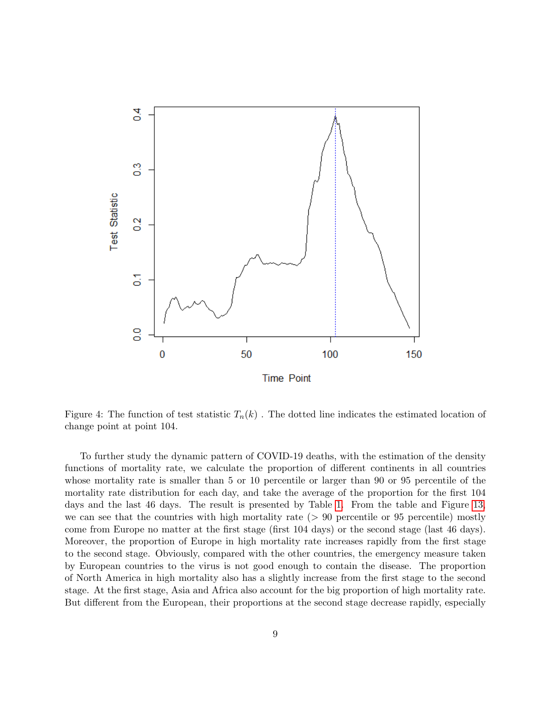

<span id="page-8-0"></span>Figure 4: The function of test statistic  $T_n(k)$ . The dotted line indicates the estimated location of change point at point 104.

To further study the dynamic pattern of COVID-19 deaths, with the estimation of the density functions of mortality rate, we calculate the proportion of different continents in all countries whose mortality rate is smaller than 5 or 10 percentile or larger than 90 or 95 percentile of the mortality rate distribution for each day, and take the average of the proportion for the first 104 days and the last 46 days. The result is presented by Table [1.](#page-15-2) From the table and Figure [13,](#page-15-1) we can see that the countries with high mortality rate  $(> 90$  percentile or 95 percentile) mostly come from Europe no matter at the first stage (first 104 days) or the second stage (last 46 days). Moreover, the proportion of Europe in high mortality rate increases rapidly from the first stage to the second stage. Obviously, compared with the other countries, the emergency measure taken by European countries to the virus is not good enough to contain the disease. The proportion of North America in high mortality also has a slightly increase from the first stage to the second stage. At the first stage, Asia and Africa also account for the big proportion of high mortality rate. But different from the European, their proportions at the second stage decrease rapidly, especially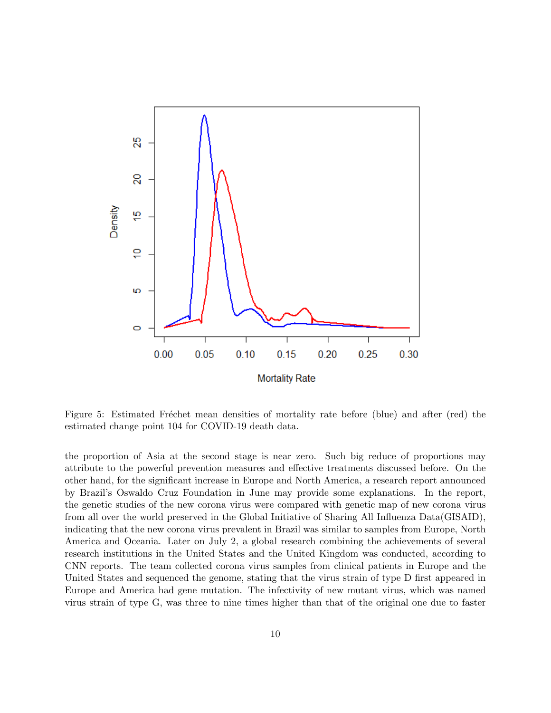

<span id="page-9-0"></span>Figure 5: Estimated Fréchet mean densities of mortality rate before (blue) and after (red) the estimated change point 104 for COVID-19 death data.

the proportion of Asia at the second stage is near zero. Such big reduce of proportions may attribute to the powerful prevention measures and effective treatments discussed before. On the other hand, for the significant increase in Europe and North America, a research report announced by Brazil's Oswaldo Cruz Foundation in June may provide some explanations. In the report, the genetic studies of the new corona virus were compared with genetic map of new corona virus from all over the world preserved in the Global Initiative of Sharing All Influenza Data(GISAID), indicating that the new corona virus prevalent in Brazil was similar to samples from Europe, North America and Oceania. Later on July 2, a global research combining the achievements of several research institutions in the United States and the United Kingdom was conducted, according to CNN reports. The team collected corona virus samples from clinical patients in Europe and the United States and sequenced the genome, stating that the virus strain of type D first appeared in Europe and America had gene mutation. The infectivity of new mutant virus, which was named virus strain of type G, was three to nine times higher than that of the original one due to faster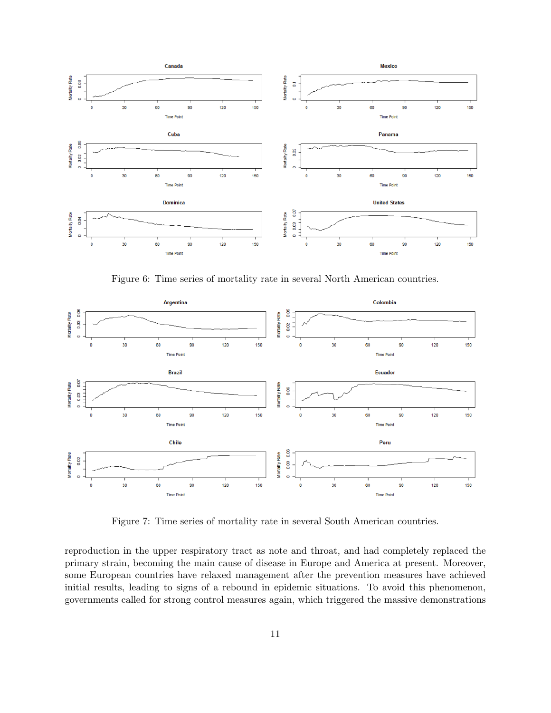

<span id="page-10-0"></span>Figure 6: Time series of mortality rate in several North American countries.



Figure 7: Time series of mortality rate in several South American countries.

reproduction in the upper respiratory tract as note and throat, and had completely replaced the primary strain, becoming the main cause of disease in Europe and America at present. Moreover, some European countries have relaxed management after the prevention measures have achieved initial results, leading to signs of a rebound in epidemic situations. To avoid this phenomenon, governments called for strong control measures again, which triggered the massive demonstrations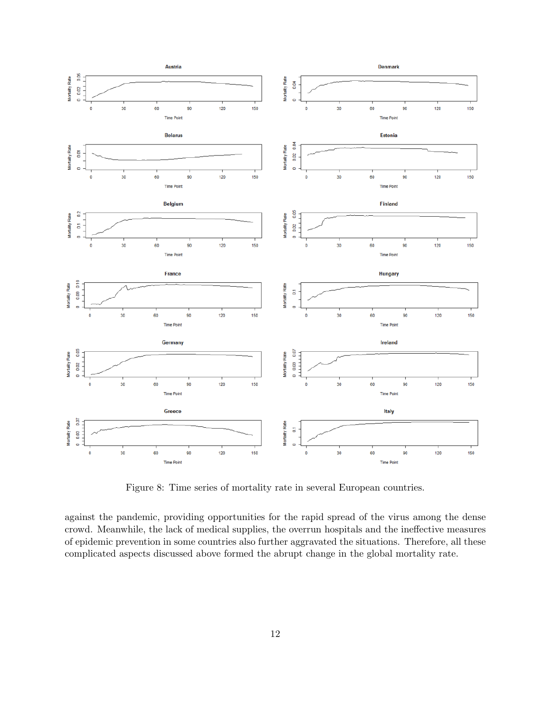

Figure 8: Time series of mortality rate in several European countries.

against the pandemic, providing opportunities for the rapid spread of the virus among the dense crowd. Meanwhile, the lack of medical supplies, the overrun hospitals and the ineffective measures of epidemic prevention in some countries also further aggravated the situations. Therefore, all these complicated aspects discussed above formed the abrupt change in the global mortality rate.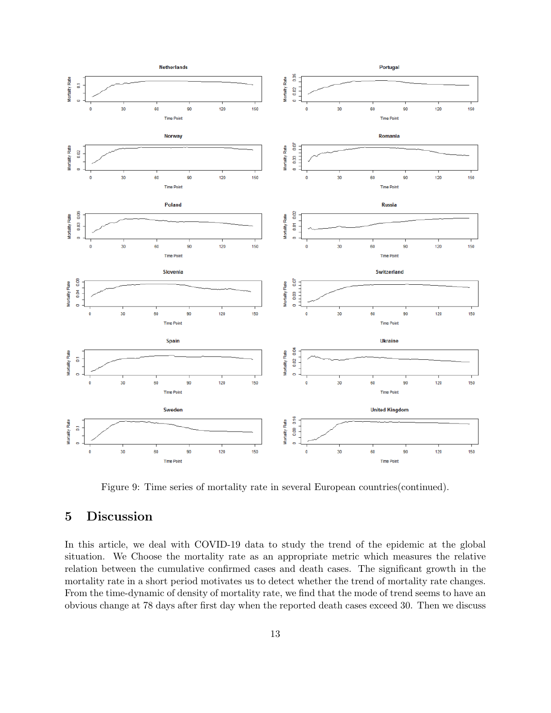

Figure 9: Time series of mortality rate in several European countries(continued).

## 5 Discussion

In this article, we deal with COVID-19 data to study the trend of the epidemic at the global situation. We Choose the mortality rate as an appropriate metric which measures the relative relation between the cumulative confirmed cases and death cases. The significant growth in the mortality rate in a short period motivates us to detect whether the trend of mortality rate changes. From the time-dynamic of density of mortality rate, we find that the mode of trend seems to have an obvious change at 78 days after first day when the reported death cases exceed 30. Then we discuss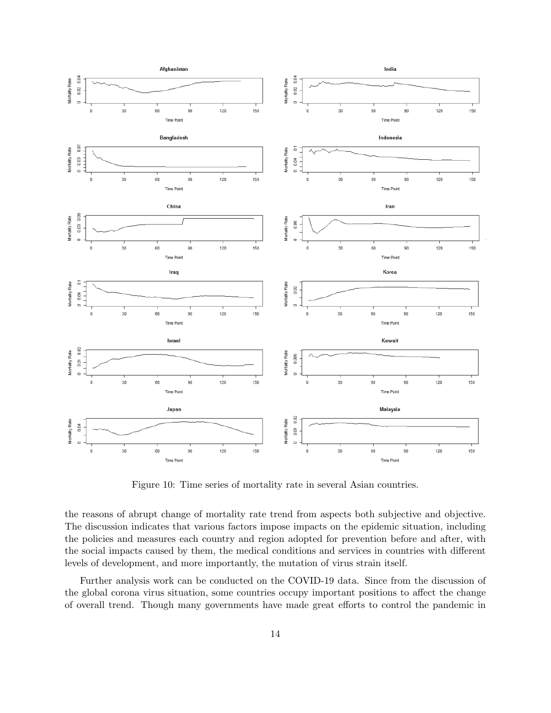

Figure 10: Time series of mortality rate in several Asian countries.

the reasons of abrupt change of mortality rate trend from aspects both subjective and objective. The discussion indicates that various factors impose impacts on the epidemic situation, including the policies and measures each country and region adopted for prevention before and after, with the social impacts caused by them, the medical conditions and services in countries with different levels of development, and more importantly, the mutation of virus strain itself.

Further analysis work can be conducted on the COVID-19 data. Since from the discussion of the global corona virus situation, some countries occupy important positions to affect the change of overall trend. Though many governments have made great efforts to control the pandemic in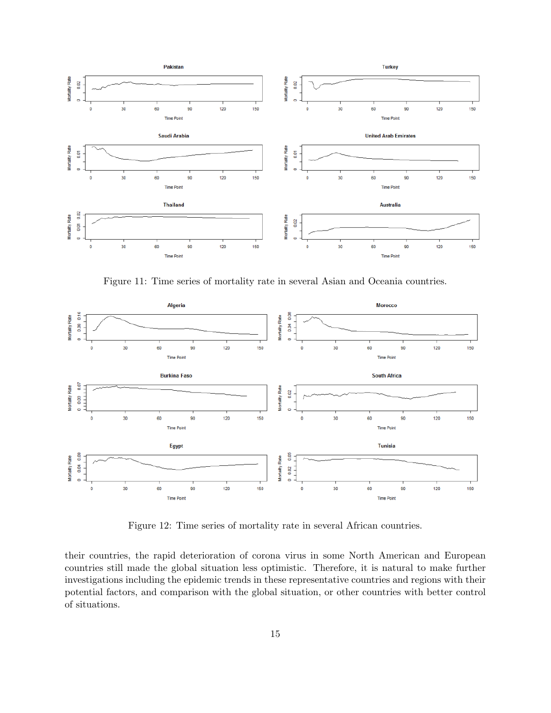

Figure 11: Time series of mortality rate in several Asian and Oceania countries.



<span id="page-14-0"></span>Figure 12: Time series of mortality rate in several African countries.

their countries, the rapid deterioration of corona virus in some North American and European countries still made the global situation less optimistic. Therefore, it is natural to make further investigations including the epidemic trends in these representative countries and regions with their potential factors, and comparison with the global situation, or other countries with better control of situations.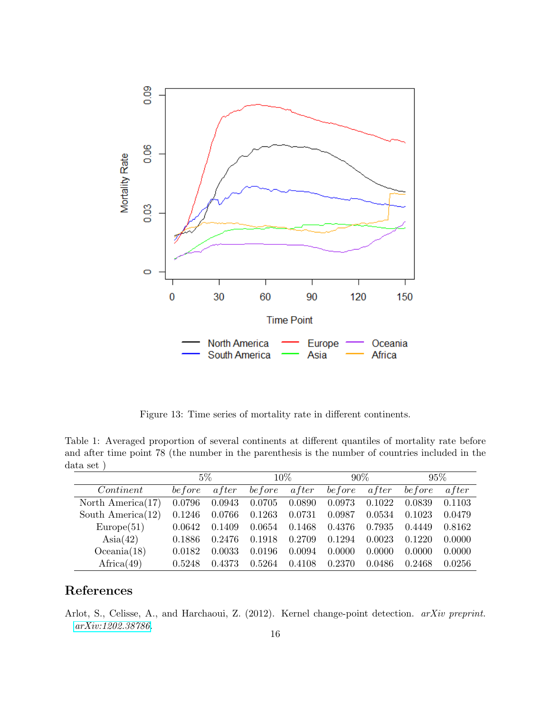

<span id="page-15-2"></span><span id="page-15-1"></span>Figure 13: Time series of mortality rate in different continents.

Table 1: Averaged proportion of several continents at different quantiles of mortality rate before and after time point 78 (the number in the parenthesis is the number of countries included in the data set )

|                      | $5\%$    |              | $10\%$  |              | $90\%$  |              | 95%     |        |
|----------------------|----------|--------------|---------|--------------|---------|--------------|---------|--------|
| Content              | be f ore | <i>after</i> | be fore | <i>after</i> | be fore | <i>after</i> | be fore | after  |
| North America $(17)$ | 0.0796   | 0.0943       | 0.0705  | 0.0890       | 0.0973  | 0.1022       | 0.0839  | 0.1103 |
| South America $(12)$ | 0.1246   | 0.0766       | 0.1263  | 0.0731       | 0.0987  | 0.0534       | 0.1023  | 0.0479 |
| Europe(51)           | 0.0642   | 0.1409       | 0.0654  | 0.1468       | 0.4376  | 0.7935       | 0.4449  | 0.8162 |
| $\text{Asia}(42)$    | 0.1886   | 0.2476       | 0.1918  | 0.2709       | 0.1294  | 0.0023       | 0.1220  | 0.0000 |
| Oceania(18)          | 0.0182   | 0.0033       | 0.0196  | 0.0094       | 0.0000  | 0.0000       | 0.0000  | 0.0000 |
| $A$ frica $(49)$     | 0.5248   | 0.4373       | 0.5264  | 0.4108       | 0.2370  | 0.0486       | 0.2468  | 0.0256 |

## References

<span id="page-15-0"></span>Arlot, S., Celisse, A., and Harchaoui, Z. (2012). Kernel change-point detection. arXiv preprint. [arXiv:1202.38786.](http://arxiv.org/abs/1202.38786)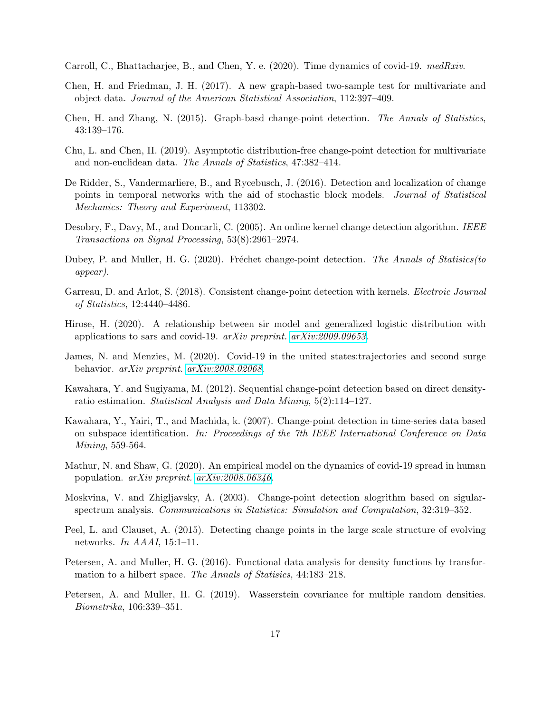<span id="page-16-3"></span>Carroll, C., Bhattacharjee, B., and Chen, Y. e. (2020). Time dynamics of covid-19. medRxiv.

- <span id="page-16-14"></span>Chen, H. and Friedman, J. H. (2017). A new graph-based two-sample test for multivariate and object data. Journal of the American Statistical Association, 112:397–409.
- <span id="page-16-13"></span>Chen, H. and Zhang, N. (2015). Graph-basd change-point detection. The Annals of Statistics, 43:139–176.
- <span id="page-16-15"></span>Chu, L. and Chen, H. (2019). Asymptotic distribution-free change-point detection for multivariate and non-euclidean data. The Annals of Statistics, 47:382–414.
- <span id="page-16-7"></span>De Ridder, S., Vandermarliere, B., and Rycebusch, J. (2016). Detection and localization of change points in temporal networks with the aid of stochastic block models. Journal of Statistical Mechanics: Theory and Experiment, 113302.
- <span id="page-16-9"></span>Desobry, F., Davy, M., and Doncarli, C. (2005). An online kernel change detection algorithm. IEEE Transactions on Signal Processing, 53(8):2961–2974.
- <span id="page-16-1"></span>Dubey, P. and Muller, H. G. (2020). Fréchet change-point detection. The Annals of Statisics(to appear).
- <span id="page-16-10"></span>Garreau, D. and Arlot, S. (2018). Consistent change-point detection with kernels. Electroic Journal of Statistics, 12:4440–4486.
- <span id="page-16-2"></span>Hirose, H. (2020). A relationship between sir model and generalized logistic distribution with applications to sars and covid-19. arXiv preprint. [arXiv:2009.09653](http://arxiv.org/abs/2009.09653).
- <span id="page-16-5"></span>James, N. and Menzies, M. (2020). Covid-19 in the united states:trajectories and second surge behavior. arXiv preprint. [arXiv:2008.02068](http://arxiv.org/abs/2008.02068).
- <span id="page-16-11"></span>Kawahara, Y. and Sugiyama, M. (2012). Sequential change-point detection based on direct densityratio estimation. Statistical Analysis and Data Mining, 5(2):114–127.
- <span id="page-16-8"></span>Kawahara, Y., Yairi, T., and Machida, k. (2007). Change-point detection in time-series data based on subspace identification. In: Proceedings of the 7th IEEE International Conference on Data Mining, 559-564.
- <span id="page-16-4"></span>Mathur, N. and Shaw, G. (2020). An empirical model on the dynamics of covid-19 spread in human population. arXiv preprint. [arXiv:2008.06346](http://arxiv.org/abs/2008.06346).
- <span id="page-16-12"></span>Moskvina, V. and Zhigljavsky, A. (2003). Change-point detection alogrithm based on sigularspectrum analysis. Communications in Statistics: Simulation and Computation, 32:319–352.
- <span id="page-16-6"></span>Peel, L. and Clauset, A. (2015). Detecting change points in the large scale structure of evolving networks. In AAAI, 15:1–11.
- <span id="page-16-0"></span>Petersen, A. and Muller, H. G. (2016). Functional data analysis for density functions by transformation to a hilbert space. The Annals of Statisics, 44:183–218.
- <span id="page-16-16"></span>Petersen, A. and Muller, H. G. (2019). Wasserstein covariance for multiple random densities. Biometrika, 106:339–351.